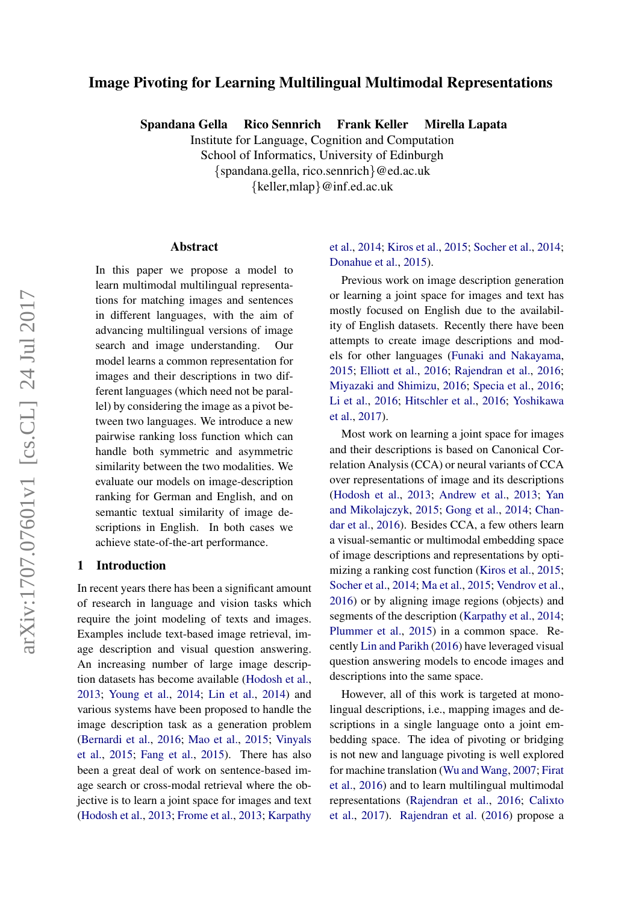# Image Pivoting for Learning Multilingual Multimodal Representations

Spandana Gella Rico Sennrich Frank Keller Mirella Lapata

Institute for Language, Cognition and Computation School of Informatics, University of Edinburgh {spandana.gella, rico.sennrich}@ed.ac.uk {keller,mlap}@inf.ed.ac.uk

#### Abstract

In this paper we propose a model to learn multimodal multilingual representations for matching images and sentences in different languages, with the aim of advancing multilingual versions of image search and image understanding. Our model learns a common representation for images and their descriptions in two different languages (which need not be parallel) by considering the image as a pivot between two languages. We introduce a new pairwise ranking loss function which can handle both symmetric and asymmetric similarity between the two modalities. We evaluate our models on image-description ranking for German and English, and on semantic textual similarity of image descriptions in English. In both cases we achieve state-of-the-art performance.

## 1 Introduction

In recent years there has been a significant amount of research in language and vision tasks which require the joint modeling of texts and images. Examples include text-based image retrieval, image description and visual question answering. An increasing number of large image description datasets has become available [\(Hodosh et al.,](#page-5-0) [2013;](#page-5-0) [Young et al.,](#page-6-0) [2014;](#page-6-0) [Lin et al.,](#page-6-1) [2014\)](#page-6-1) and various systems have been proposed to handle the image description task as a generation problem [\(Bernardi et al.,](#page-5-1) [2016;](#page-5-1) [Mao et al.,](#page-6-2) [2015;](#page-6-2) [Vinyals](#page-6-3) [et al.,](#page-6-3) [2015;](#page-6-3) [Fang et al.,](#page-5-2) [2015\)](#page-5-2). There has also been a great deal of work on sentence-based image search or cross-modal retrieval where the objective is to learn a joint space for images and text [\(Hodosh et al.,](#page-5-0) [2013;](#page-5-0) [Frome et al.,](#page-5-3) [2013;](#page-5-3) [Karpathy](#page-5-4)

# [et al.,](#page-5-4) [2014;](#page-5-4) [Kiros et al.,](#page-5-5) [2015;](#page-5-5) [Socher et al.,](#page-6-4) [2014;](#page-6-4) [Donahue et al.,](#page-5-6) [2015\)](#page-5-6).

Previous work on image description generation or learning a joint space for images and text has mostly focused on English due to the availability of English datasets. Recently there have been attempts to create image descriptions and models for other languages [\(Funaki and Nakayama,](#page-5-7) [2015;](#page-5-7) [Elliott et al.,](#page-5-8) [2016;](#page-5-8) [Rajendran et al.,](#page-6-5) [2016;](#page-6-5) [Miyazaki and Shimizu,](#page-6-6) [2016;](#page-6-6) [Specia et al.,](#page-6-7) [2016;](#page-6-7) [Li et al.,](#page-6-8) [2016;](#page-6-8) [Hitschler et al.,](#page-5-9) [2016;](#page-5-9) [Yoshikawa](#page-6-9) [et al.,](#page-6-9) [2017\)](#page-6-9).

Most work on learning a joint space for images and their descriptions is based on Canonical Correlation Analysis (CCA) or neural variants of CCA over representations of image and its descriptions [\(Hodosh et al.,](#page-5-0) [2013;](#page-5-0) [Andrew et al.,](#page-5-10) [2013;](#page-5-10) [Yan](#page-6-10) [and Mikolajczyk,](#page-6-10) [2015;](#page-6-10) [Gong et al.,](#page-5-11) [2014;](#page-5-11) [Chan](#page-5-12)[dar et al.,](#page-5-12) [2016\)](#page-5-12). Besides CCA, a few others learn a visual-semantic or multimodal embedding space of image descriptions and representations by optimizing a ranking cost function [\(Kiros et al.,](#page-5-5) [2015;](#page-5-5) [Socher et al.,](#page-6-4) [2014;](#page-6-4) [Ma et al.,](#page-6-11) [2015;](#page-6-11) [Vendrov et al.,](#page-6-12) [2016\)](#page-6-12) or by aligning image regions (objects) and segments of the description [\(Karpathy et al.,](#page-5-4) [2014;](#page-5-4) [Plummer et al.,](#page-6-13) [2015\)](#page-6-13) in a common space. Recently [Lin and Parikh](#page-6-14) [\(2016\)](#page-6-14) have leveraged visual question answering models to encode images and descriptions into the same space.

However, all of this work is targeted at monolingual descriptions, i.e., mapping images and descriptions in a single language onto a joint embedding space. The idea of pivoting or bridging is not new and language pivoting is well explored for machine translation [\(Wu and Wang,](#page-6-15) [2007;](#page-6-15) [Firat](#page-5-13) [et al.,](#page-5-13) [2016\)](#page-5-13) and to learn multilingual multimodal representations [\(Rajendran et al.,](#page-6-5) [2016;](#page-6-5) [Calixto](#page-5-14) [et al.,](#page-5-14) [2017\)](#page-5-14). [Rajendran et al.](#page-6-5) [\(2016\)](#page-6-5) propose a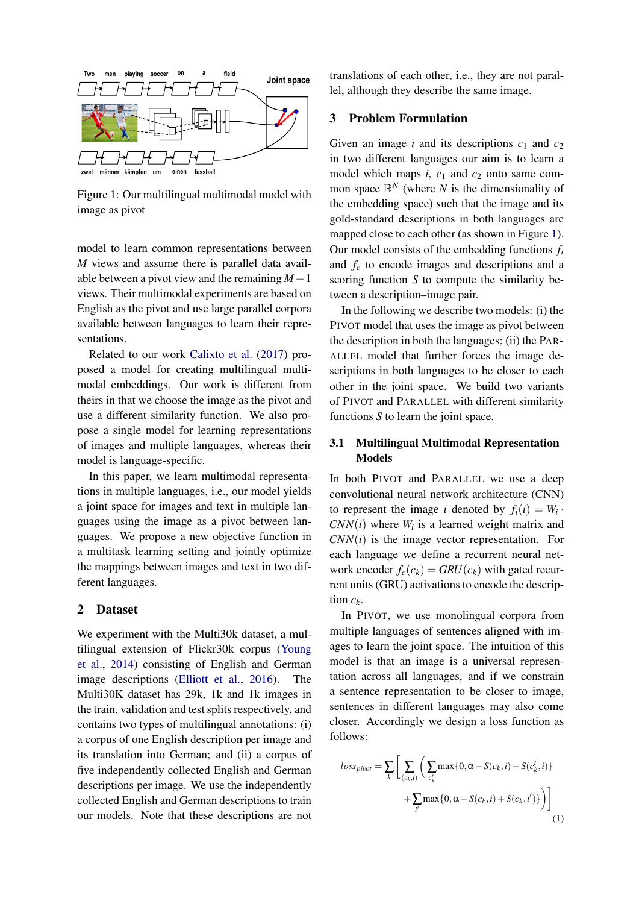<span id="page-1-0"></span>

Figure 1: Our multilingual multimodal model with image as pivot

model to learn common representations between *M* views and assume there is parallel data available between a pivot view and the remaining *M*−1 views. Their multimodal experiments are based on English as the pivot and use large parallel corpora available between languages to learn their representations.

Related to our work [Calixto et al.](#page-5-14) [\(2017\)](#page-5-14) proposed a model for creating multilingual multimodal embeddings. Our work is different from theirs in that we choose the image as the pivot and use a different similarity function. We also propose a single model for learning representations of images and multiple languages, whereas their model is language-specific.

In this paper, we learn multimodal representations in multiple languages, i.e., our model yields a joint space for images and text in multiple languages using the image as a pivot between languages. We propose a new objective function in a multitask learning setting and jointly optimize the mappings between images and text in two different languages.

## 2 Dataset

We experiment with the Multi30k dataset, a multilingual extension of Flickr30k corpus [\(Young](#page-6-0) [et al.,](#page-6-0) [2014\)](#page-6-0) consisting of English and German image descriptions [\(Elliott et al.,](#page-5-8) [2016\)](#page-5-8). The Multi30K dataset has 29k, 1k and 1k images in the train, validation and test splits respectively, and contains two types of multilingual annotations: (i) a corpus of one English description per image and its translation into German; and (ii) a corpus of five independently collected English and German descriptions per image. We use the independently collected English and German descriptions to train our models. Note that these descriptions are not translations of each other, i.e., they are not parallel, although they describe the same image.

## 3 Problem Formulation

Given an image *i* and its descriptions  $c_1$  and  $c_2$ in two different languages our aim is to learn a model which maps  $i$ ,  $c_1$  and  $c_2$  onto same common space  $\mathbb{R}^N$  (where *N* is the dimensionality of the embedding space) such that the image and its gold-standard descriptions in both languages are mapped close to each other (as shown in Figure [1\)](#page-1-0). Our model consists of the embedding functions *f<sup>i</sup>* and *f<sup>c</sup>* to encode images and descriptions and a scoring function *S* to compute the similarity between a description–image pair.

In the following we describe two models: (i) the PIVOT model that uses the image as pivot between the description in both the languages; (ii) the PAR-ALLEL model that further forces the image descriptions in both languages to be closer to each other in the joint space. We build two variants of PIVOT and PARALLEL with different similarity functions *S* to learn the joint space.

# 3.1 Multilingual Multimodal Representation Models

In both PIVOT and PARALLEL we use a deep convolutional neural network architecture (CNN) to represent the image *i* denoted by  $f_i(i) = W_i$ .  $CNN(i)$  where  $W_i$  is a learned weight matrix and *CNN*(*i*) is the image vector representation. For each language we define a recurrent neural network encoder  $f_c(c_k) = GRU(c_k)$  with gated recurrent units (GRU) activations to encode the description  $c_k$ .

In PIVOT, we use monolingual corpora from multiple languages of sentences aligned with images to learn the joint space. The intuition of this model is that an image is a universal representation across all languages, and if we constrain a sentence representation to be closer to image, sentences in different languages may also come closer. Accordingly we design a loss function as follows:

$$
loss_{pivot} = \sum_{k} \left[ \sum_{(c_k, i)} \left( \sum_{c'_k} \max\{0, \alpha - S(c_k, i) + S(c'_k, i)\} + \sum_{i'} \max\{0, \alpha - S(c_k, i) + S(c_k, i')\} \right) \right]
$$
\n(1)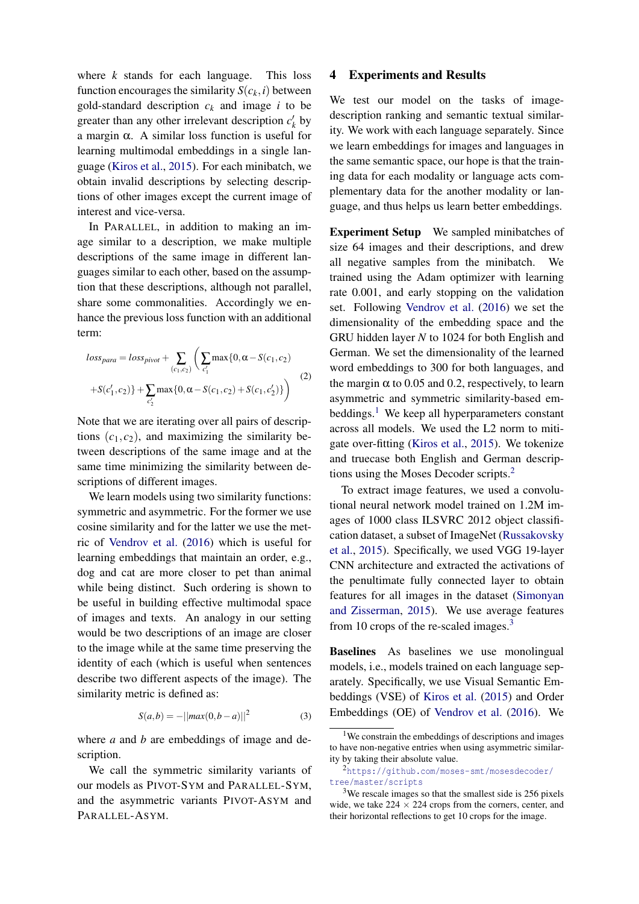where *k* stands for each language. This loss function encourages the similarity  $S(c_k, i)$  between gold-standard description  $c_k$  and image *i* to be greater than any other irrelevant description  $c'_{k}$  by a margin α. A similar loss function is useful for learning multimodal embeddings in a single language [\(Kiros et al.,](#page-5-5) [2015\)](#page-5-5). For each minibatch, we obtain invalid descriptions by selecting descriptions of other images except the current image of interest and vice-versa.

In PARALLEL, in addition to making an image similar to a description, we make multiple descriptions of the same image in different languages similar to each other, based on the assumption that these descriptions, although not parallel, share some commonalities. Accordingly we enhance the previous loss function with an additional term:

$$
loss_{para} = loss_{pivot} + \sum_{(c_1, c_2)} \left( \sum_{c'_1} \max\{0, \alpha - S(c_1, c_2) + S(c'_1, c_2) + \sum_{c'_2} \max\{0, \alpha - S(c_1, c_2) + S(c_1, c'_2)\}\right)
$$
(2)

Note that we are iterating over all pairs of descriptions  $(c_1, c_2)$ , and maximizing the similarity between descriptions of the same image and at the same time minimizing the similarity between descriptions of different images.

We learn models using two similarity functions: symmetric and asymmetric. For the former we use cosine similarity and for the latter we use the metric of [Vendrov et al.](#page-6-12) [\(2016\)](#page-6-12) which is useful for learning embeddings that maintain an order, e.g., dog and cat are more closer to pet than animal while being distinct. Such ordering is shown to be useful in building effective multimodal space of images and texts. An analogy in our setting would be two descriptions of an image are closer to the image while at the same time preserving the identity of each (which is useful when sentences describe two different aspects of the image). The similarity metric is defined as:

$$
S(a,b) = -||max(0,b-a)||^2
$$
 (3)

where *a* and *b* are embeddings of image and description.

#### 4 Experiments and Results

We test our model on the tasks of imagedescription ranking and semantic textual similarity. We work with each language separately. Since we learn embeddings for images and languages in the same semantic space, our hope is that the training data for each modality or language acts complementary data for the another modality or language, and thus helps us learn better embeddings.

Experiment Setup We sampled minibatches of size 64 images and their descriptions, and drew all negative samples from the minibatch. We trained using the Adam optimizer with learning rate 0.001, and early stopping on the validation set. Following [Vendrov et al.](#page-6-12) [\(2016\)](#page-6-12) we set the dimensionality of the embedding space and the GRU hidden layer *N* to 1024 for both English and German. We set the dimensionality of the learned word embeddings to 300 for both languages, and the margin  $\alpha$  to 0.05 and 0.2, respectively, to learn asymmetric and symmetric similarity-based em-beddings.<sup>[1](#page-2-0)</sup> We keep all hyperparameters constant across all models. We used the L2 norm to mitigate over-fitting [\(Kiros et al.,](#page-5-5) [2015\)](#page-5-5). We tokenize and truecase both English and German descriptions using the Moses Decoder scripts.[2](#page-2-1)

To extract image features, we used a convolutional neural network model trained on 1.2M images of 1000 class ILSVRC 2012 object classification dataset, a subset of ImageNet [\(Russakovsky](#page-6-16) [et al.,](#page-6-16) [2015\)](#page-6-16). Specifically, we used VGG 19-layer CNN architecture and extracted the activations of the penultimate fully connected layer to obtain features for all images in the dataset [\(Simonyan](#page-6-17) [and Zisserman,](#page-6-17) [2015\)](#page-6-17). We use average features from 10 crops of the re-scaled images. $3$ 

Baselines As baselines we use monolingual models, i.e., models trained on each language separately. Specifically, we use Visual Semantic Embeddings (VSE) of [Kiros et al.](#page-5-5) [\(2015\)](#page-5-5) and Order Embeddings (OE) of [Vendrov et al.](#page-6-12) [\(2016\)](#page-6-12). We

We call the symmetric similarity variants of our models as PIVOT-SYM and PARALLEL-SYM, and the asymmetric variants PIVOT-ASYM and PARALLEL-ASYM.

<span id="page-2-0"></span><sup>&</sup>lt;sup>1</sup>We constrain the embeddings of descriptions and images to have non-negative entries when using asymmetric similarity by taking their absolute value.

<span id="page-2-1"></span><sup>2</sup>[https://github.com/moses-smt/mosesdecoder/](https://github.com/moses-smt/mosesdecoder/tree/master/scripts) [tree/master/scripts](https://github.com/moses-smt/mosesdecoder/tree/master/scripts)

<span id="page-2-2"></span><sup>3</sup>We rescale images so that the smallest side is 256 pixels wide, we take  $224 \times 224$  crops from the corners, center, and their horizontal reflections to get 10 crops for the image.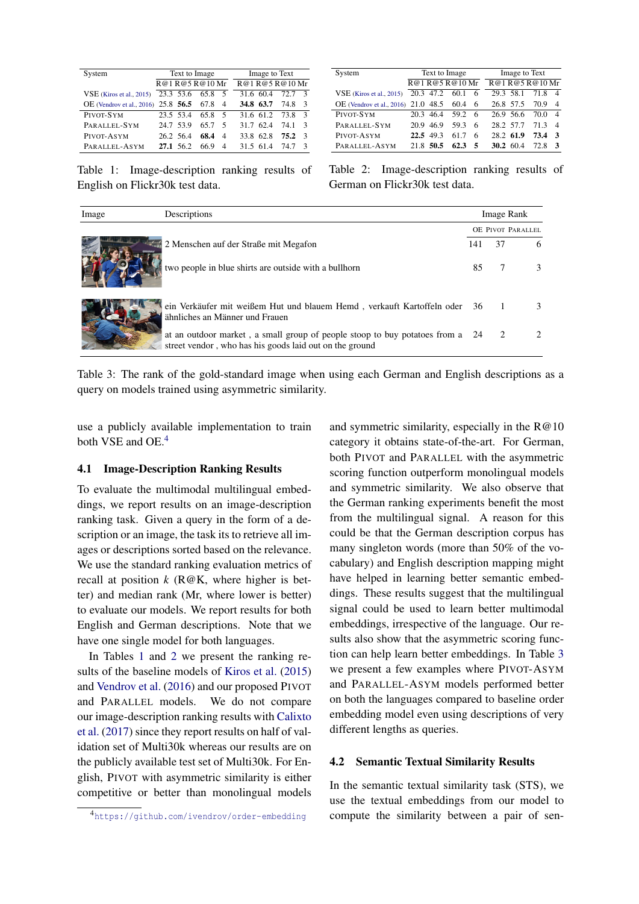<span id="page-3-1"></span>

| System                              | Text to Image |      |                | Image to Text |      |  |  |
|-------------------------------------|---------------|------|----------------|---------------|------|--|--|
|                                     | R@1R@5R@10Mr  |      |                | R@1R@5R@10Mr  |      |  |  |
| $VSE$ (Kiros et al., 2015)          | 23.3 53.6     | 65.8 | - 5            | 31.6 60.4     | 72.7 |  |  |
| OE (Vendrov et al., 2016) 25.8 56.5 |               | 67.8 | $\overline{4}$ | 34.8 63.7     | 74.8 |  |  |
| PIVOT-SYM                           | 235 534       | 65.8 | - 5            | 31.6 61.2     | 73.8 |  |  |
| PARALLEL-SYM                        | 24.7 53.9     | 65.7 | -5             | 31 7 62 4     | 74 1 |  |  |
| PIVOT-ASYM                          | 26.2 56.4     | 68.4 | $\overline{4}$ | 33.8 62.8     | 75.2 |  |  |
| PARALLEL-ASYM                       | 27.1 56.2     | 66 9 | $\overline{4}$ | 31 5 61 4     | 74 7 |  |  |

System Text to Image Image to Text  $\frac{\sqrt{R@1 R@5 R@10 Mr}}{20.3 47.2 60.1 6} \frac{\sqrt{R@1 R@5 R@10 Mr}}{29.3 58.1 71.8 4}$ VSE [\(Kiros et al.,](#page-5-5) [2015\)](#page-5-5) 20.3 47.2 OE [\(Vendrov et al.,](#page-6-12) [2016\)](#page-6-12) 21.0 48.5 60.4 6 26.8 57.5 70.9 4<br>PIVOT-SYM 20.3 46.4 59.2 6 26.9 56.6 70.0 4 PIVOT-SYM 20.3 46.4 59.2 6 PARALLEL-SYM 20.9 46.9 59.3 6 28.2 57.7 71.3 4<br>PIVOT-ASYM 22.5 49.3 61.7 6 28.2 61.9 73.4 3  $61.7$   $6$   $28.2$   $61.9$   $73.4$  3<br> $62.3$  5  $30.2$   $60.4$   $72.8$  3 <sup>P</sup>ARALLEL-ASYM 21.8 50.5 62.3 5 30.2 60.4 72.8 <sup>3</sup>

Table 1: Image-description ranking results of English on Flickr30k test data.

Table 2: Image-description ranking results of German on Flickr30k test data.

<span id="page-3-2"></span>

| Image | Descriptions                                                                                                                             |                   |      | Image Rank |  |  |
|-------|------------------------------------------------------------------------------------------------------------------------------------------|-------------------|------|------------|--|--|
|       |                                                                                                                                          | OE PIVOT PARALLEL |      |            |  |  |
|       | 2 Menschen auf der Straße mit Megafon                                                                                                    | 141               | 37   | 6          |  |  |
|       | two people in blue shirts are outside with a bullhorn                                                                                    | 85                |      |            |  |  |
|       | ein Verkäufer mit weißem Hut und blauem Hemd, verkauft Kartoffeln oder 36 1<br>ähnliches an Männer und Frauen                            |                   |      |            |  |  |
|       | at an outdoor market, a small group of people stoop to buy potatoes from a 24<br>street vendor, who has his goods laid out on the ground |                   | - 2. |            |  |  |

Table 3: The rank of the gold-standard image when using each German and English descriptions as a query on models trained using asymmetric similarity.

use a publicly available implementation to train both VSE and OE.<sup>[4](#page-3-0)</sup>

## 4.1 Image-Description Ranking Results

To evaluate the multimodal multilingual embeddings, we report results on an image-description ranking task. Given a query in the form of a description or an image, the task its to retrieve all images or descriptions sorted based on the relevance. We use the standard ranking evaluation metrics of recall at position  $k$  ( $R@K$ , where higher is better) and median rank (Mr, where lower is better) to evaluate our models. We report results for both English and German descriptions. Note that we have one single model for both languages.

In Tables [1](#page-3-1) and [2](#page-3-1) we present the ranking results of the baseline models of [Kiros et al.](#page-5-5) [\(2015\)](#page-5-5) and [Vendrov et al.](#page-6-12) [\(2016\)](#page-6-12) and our proposed PIVOT and PARALLEL models. We do not compare our image-description ranking results with [Calixto](#page-5-14) [et al.](#page-5-14) [\(2017\)](#page-5-14) since they report results on half of validation set of Multi30k whereas our results are on the publicly available test set of Multi30k. For English, PIVOT with asymmetric similarity is either competitive or better than monolingual models

and symmetric similarity, especially in the  $R@10$ category it obtains state-of-the-art. For German, both PIVOT and PARALLEL with the asymmetric scoring function outperform monolingual models and symmetric similarity. We also observe that the German ranking experiments benefit the most from the multilingual signal. A reason for this could be that the German description corpus has many singleton words (more than 50% of the vocabulary) and English description mapping might have helped in learning better semantic embeddings. These results suggest that the multilingual signal could be used to learn better multimodal embeddings, irrespective of the language. Our results also show that the asymmetric scoring function can help learn better embeddings. In Table [3](#page-3-2) we present a few examples where PIVOT-ASYM and PARALLEL-ASYM models performed better on both the languages compared to baseline order embedding model even using descriptions of very different lengths as queries.

#### 4.2 Semantic Textual Similarity Results

In the semantic textual similarity task (STS), we use the textual embeddings from our model to compute the similarity between a pair of sen-

<span id="page-3-0"></span><sup>4</sup><https://github.com/ivendrov/order-embedding>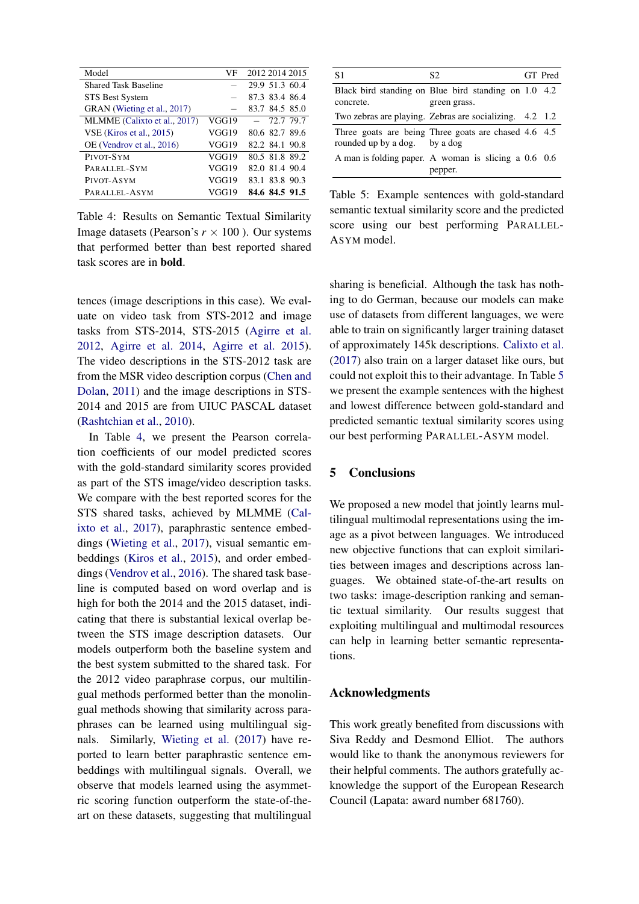<span id="page-4-0"></span>

| Model                        | VF    | 2012 2014 2015 |
|------------------------------|-------|----------------|
| <b>Shared Task Baseline</b>  |       | 29.9 51.3 60.4 |
| <b>STS Best System</b>       |       | 87.3 83.4 86.4 |
| GRAN (Wieting et al., 2017)  |       | 83.7 84.5 85.0 |
| MLMME (Calixto et al., 2017) | VGG19 | $-72.779.7$    |
| $VSE$ (Kiros et al., 2015)   | VGG19 | 80.6 82.7 89.6 |
| OE (Vendrov et al., 2016)    | VGG19 | 82.2 84.1 90.8 |
| PIVOT-SYM                    | VGG19 | 80.5 81.8 89.2 |
| PARALLEL-SYM                 | VGG19 | 82.0 81.4 90.4 |
| PIVOT-ASYM                   | VGG19 | 83.1 83.8 90.3 |
| PARALLEL-ASYM                | VGG19 | 84.6 84.5 91.5 |

Table 4: Results on Semantic Textual Similarity Image datasets (Pearson's  $r \times 100$ ). Our systems that performed better than best reported shared task scores are in bold.

tences (image descriptions in this case). We evaluate on video task from STS-2012 and image tasks from STS-2014, STS-2015 [\(Agirre et al.](#page-5-15) [2012,](#page-5-15) [Agirre et al.](#page-5-16) [2014,](#page-5-16) [Agirre et al.](#page-5-17) [2015\)](#page-5-17). The video descriptions in the STS-2012 task are from the MSR video description corpus [\(Chen and](#page-5-18) [Dolan,](#page-5-18) [2011\)](#page-5-18) and the image descriptions in STS-2014 and 2015 are from UIUC PASCAL dataset [\(Rashtchian et al.,](#page-6-19) [2010\)](#page-6-19).

In Table [4,](#page-4-0) we present the Pearson correlation coefficients of our model predicted scores with the gold-standard similarity scores provided as part of the STS image/video description tasks. We compare with the best reported scores for the STS shared tasks, achieved by MLMME [\(Cal](#page-5-14)[ixto et al.,](#page-5-14) [2017\)](#page-5-14), paraphrastic sentence embeddings [\(Wieting et al.,](#page-6-18) [2017\)](#page-6-18), visual semantic embeddings [\(Kiros et al.,](#page-5-5) [2015\)](#page-5-5), and order embeddings [\(Vendrov et al.,](#page-6-12) [2016\)](#page-6-12). The shared task baseline is computed based on word overlap and is high for both the 2014 and the 2015 dataset, indicating that there is substantial lexical overlap between the STS image description datasets. Our models outperform both the baseline system and the best system submitted to the shared task. For the 2012 video paraphrase corpus, our multilingual methods performed better than the monolingual methods showing that similarity across paraphrases can be learned using multilingual signals. Similarly, [Wieting et al.](#page-6-18) [\(2017\)](#page-6-18) have reported to learn better paraphrastic sentence embeddings with multilingual signals. Overall, we observe that models learned using the asymmetric scoring function outperform the state-of-theart on these datasets, suggesting that multilingual

<span id="page-4-1"></span>

| S1                            | S2.                                                                  | GT Pred |
|-------------------------------|----------------------------------------------------------------------|---------|
| concrete.                     | Black bird standing on Blue bird standing on 1.0 4.2<br>green grass. |         |
|                               | Two zebras are playing. Zebras are socializing. 4.2 1.2              |         |
| rounded up by a dog. by a dog | Three goats are being Three goats are chased 4.6 4.5                 |         |
|                               | A man is folding paper. A woman is slicing a 0.6 0.6<br>pepper.      |         |

Table 5: Example sentences with gold-standard semantic textual similarity score and the predicted score using our best performing PARALLEL-ASYM model.

sharing is beneficial. Although the task has nothing to do German, because our models can make use of datasets from different languages, we were able to train on significantly larger training dataset of approximately 145k descriptions. [Calixto et al.](#page-5-14) [\(2017\)](#page-5-14) also train on a larger dataset like ours, but could not exploit this to their advantage. In Table [5](#page-4-1) we present the example sentences with the highest and lowest difference between gold-standard and predicted semantic textual similarity scores using our best performing PARALLEL-ASYM model.

## 5 Conclusions

We proposed a new model that jointly learns multilingual multimodal representations using the image as a pivot between languages. We introduced new objective functions that can exploit similarities between images and descriptions across languages. We obtained state-of-the-art results on two tasks: image-description ranking and semantic textual similarity. Our results suggest that exploiting multilingual and multimodal resources can help in learning better semantic representations.

## Acknowledgments

This work greatly benefited from discussions with Siva Reddy and Desmond Elliot. The authors would like to thank the anonymous reviewers for their helpful comments. The authors gratefully acknowledge the support of the European Research Council (Lapata: award number 681760).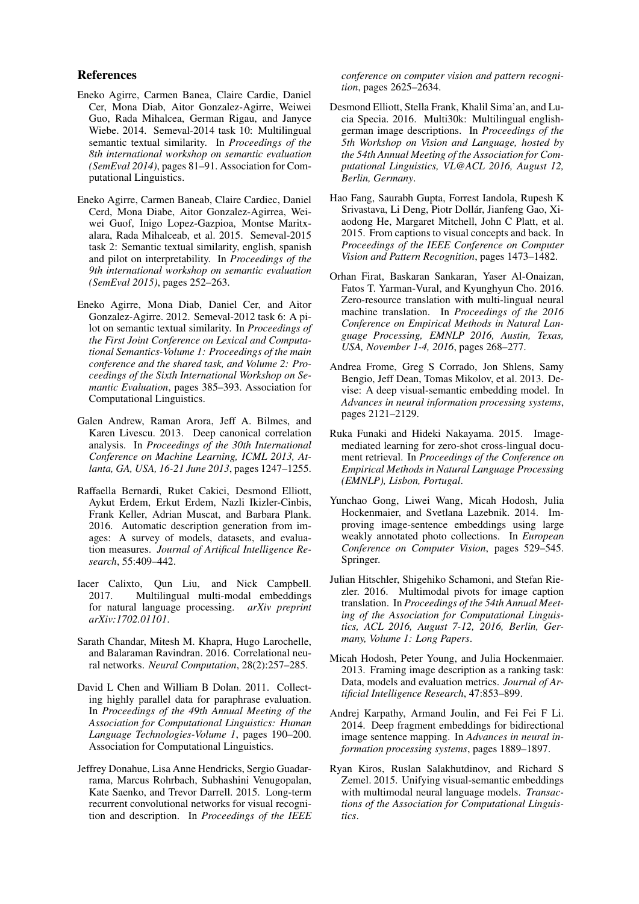## References

- <span id="page-5-16"></span>Eneko Agirre, Carmen Banea, Claire Cardie, Daniel Cer, Mona Diab, Aitor Gonzalez-Agirre, Weiwei Guo, Rada Mihalcea, German Rigau, and Janyce Wiebe. 2014. Semeval-2014 task 10: Multilingual semantic textual similarity. In *Proceedings of the 8th international workshop on semantic evaluation (SemEval 2014)*, pages 81–91. Association for Computational Linguistics.
- <span id="page-5-17"></span>Eneko Agirre, Carmen Baneab, Claire Cardiec, Daniel Cerd, Mona Diabe, Aitor Gonzalez-Agirrea, Weiwei Guof, Inigo Lopez-Gazpioa, Montse Maritxalara, Rada Mihalceab, et al. 2015. Semeval-2015 task 2: Semantic textual similarity, english, spanish and pilot on interpretability. In *Proceedings of the 9th international workshop on semantic evaluation (SemEval 2015)*, pages 252–263.
- <span id="page-5-15"></span>Eneko Agirre, Mona Diab, Daniel Cer, and Aitor Gonzalez-Agirre. 2012. Semeval-2012 task 6: A pilot on semantic textual similarity. In *Proceedings of the First Joint Conference on Lexical and Computational Semantics-Volume 1: Proceedings of the main conference and the shared task, and Volume 2: Proceedings of the Sixth International Workshop on Semantic Evaluation*, pages 385–393. Association for Computational Linguistics.
- <span id="page-5-10"></span>Galen Andrew, Raman Arora, Jeff A. Bilmes, and Karen Livescu. 2013. Deep canonical correlation analysis. In *Proceedings of the 30th International Conference on Machine Learning, ICML 2013, Atlanta, GA, USA, 16-21 June 2013*, pages 1247–1255.
- <span id="page-5-1"></span>Raffaella Bernardi, Ruket Cakici, Desmond Elliott, Aykut Erdem, Erkut Erdem, Nazli Ikizler-Cinbis, Frank Keller, Adrian Muscat, and Barbara Plank. 2016. Automatic description generation from images: A survey of models, datasets, and evaluation measures. *Journal of Artifical Intelligence Research*, 55:409–442.
- <span id="page-5-14"></span>Iacer Calixto, Qun Liu, and Nick Campbell. 2017. Multilingual multi-modal embeddings for natural language processing. *arXiv preprint arXiv:1702.01101*.
- <span id="page-5-12"></span>Sarath Chandar, Mitesh M. Khapra, Hugo Larochelle, and Balaraman Ravindran. 2016. Correlational neural networks. *Neural Computation*, 28(2):257–285.
- <span id="page-5-18"></span>David L Chen and William B Dolan. 2011. Collecting highly parallel data for paraphrase evaluation. In *Proceedings of the 49th Annual Meeting of the Association for Computational Linguistics: Human Language Technologies-Volume 1*, pages 190–200. Association for Computational Linguistics.
- <span id="page-5-6"></span>Jeffrey Donahue, Lisa Anne Hendricks, Sergio Guadarrama, Marcus Rohrbach, Subhashini Venugopalan, Kate Saenko, and Trevor Darrell. 2015. Long-term recurrent convolutional networks for visual recognition and description. In *Proceedings of the IEEE*

*conference on computer vision and pattern recognition*, pages 2625–2634.

- <span id="page-5-8"></span>Desmond Elliott, Stella Frank, Khalil Sima'an, and Lucia Specia. 2016. Multi30k: Multilingual englishgerman image descriptions. In *Proceedings of the 5th Workshop on Vision and Language, hosted by the 54th Annual Meeting of the Association for Computational Linguistics, VL@ACL 2016, August 12, Berlin, Germany*.
- <span id="page-5-2"></span>Hao Fang, Saurabh Gupta, Forrest Iandola, Rupesh K Srivastava, Li Deng, Piotr Dollar, Jianfeng Gao, Xi- ´ aodong He, Margaret Mitchell, John C Platt, et al. 2015. From captions to visual concepts and back. In *Proceedings of the IEEE Conference on Computer Vision and Pattern Recognition*, pages 1473–1482.
- <span id="page-5-13"></span>Orhan Firat, Baskaran Sankaran, Yaser Al-Onaizan, Fatos T. Yarman-Vural, and Kyunghyun Cho. 2016. Zero-resource translation with multi-lingual neural machine translation. In *Proceedings of the 2016 Conference on Empirical Methods in Natural Language Processing, EMNLP 2016, Austin, Texas, USA, November 1-4, 2016*, pages 268–277.
- <span id="page-5-3"></span>Andrea Frome, Greg S Corrado, Jon Shlens, Samy Bengio, Jeff Dean, Tomas Mikolov, et al. 2013. Devise: A deep visual-semantic embedding model. In *Advances in neural information processing systems*, pages 2121–2129.
- <span id="page-5-7"></span>Ruka Funaki and Hideki Nakayama. 2015. Imagemediated learning for zero-shot cross-lingual document retrieval. In *Proceedings of the Conference on Empirical Methods in Natural Language Processing (EMNLP), Lisbon, Portugal*.
- <span id="page-5-11"></span>Yunchao Gong, Liwei Wang, Micah Hodosh, Julia Hockenmaier, and Svetlana Lazebnik. 2014. Improving image-sentence embeddings using large weakly annotated photo collections. In *European Conference on Computer Vision*, pages 529–545. Springer.
- <span id="page-5-9"></span>Julian Hitschler, Shigehiko Schamoni, and Stefan Riezler. 2016. Multimodal pivots for image caption translation. In *Proceedings of the 54th Annual Meeting of the Association for Computational Linguistics, ACL 2016, August 7-12, 2016, Berlin, Germany, Volume 1: Long Papers*.
- <span id="page-5-0"></span>Micah Hodosh, Peter Young, and Julia Hockenmaier. 2013. Framing image description as a ranking task: Data, models and evaluation metrics. *Journal of Artificial Intelligence Research*, 47:853–899.
- <span id="page-5-4"></span>Andrej Karpathy, Armand Joulin, and Fei Fei F Li. 2014. Deep fragment embeddings for bidirectional image sentence mapping. In *Advances in neural information processing systems*, pages 1889–1897.
- <span id="page-5-5"></span>Ryan Kiros, Ruslan Salakhutdinov, and Richard S Zemel. 2015. Unifying visual-semantic embeddings with multimodal neural language models. *Transactions of the Association for Computational Linguistics*.